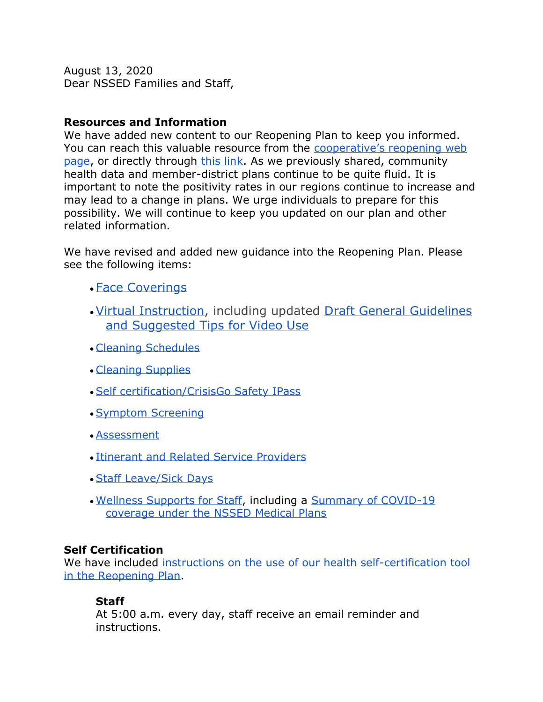August 13, 2020 Dear NSSED Families and Staff,

### **Resources and Information**

We have added new content to our Reopening Plan to keep you informed. You can reach this valuable resource from the [cooperative's reopening web](https://www.nssed.org/reopening)  [page,](https://www.nssed.org/reopening) or directly through [this link.](https://docs.google.com/document/d/1fSOHV3Ld9J0ByBo7kV4N7W9WHFpFBQBibNOo2wILNcw/edit) As we previously shared, community health data and member-district plans continue to be quite fluid. It is important to note the positivity rates in our regions continue to increase and may lead to a change in plans. We urge individuals to prepare for this possibility. We will continue to keep you updated on our plan and other related information.

We have revised and added new guidance into the Reopening Plan. Please see the following items:

- [Face Coverings](https://docs.google.com/document/d/1fSOHV3Ld9J0ByBo7kV4N7W9WHFpFBQBibNOo2wILNcw/edit#heading=h.yukfstheikv0)
- •[Virtual Instruction,](https://docs.google.com/document/d/1fSOHV3Ld9J0ByBo7kV4N7W9WHFpFBQBibNOo2wILNcw/edit#heading=h.9k2n6boh10h5) including updated [Draft General Guidelines](https://docs.google.com/document/d/1hgCZ-D5k2a3y1VDaLFNPblelSz_S_D3NO_BMqEuhRSA/edit)  [and Suggested Tips for Video Use](https://docs.google.com/document/d/1hgCZ-D5k2a3y1VDaLFNPblelSz_S_D3NO_BMqEuhRSA/edit)
- [Cleaning Schedules](https://docs.google.com/document/d/1E0gJ_b4P8f5n09ioSCuI9ZmOzP_FkvKSwe9l9Lon5cw/edit#heading=h.jqr69ssu732m)
- [Cleaning Supplies](https://docs.google.com/document/d/1fSOHV3Ld9J0ByBo7kV4N7W9WHFpFBQBibNOo2wILNcw/edit#heading=h.9d4ay82pbuna)
- [Self certification/CrisisGo Safety IPass](https://docs.google.com/document/d/1fSOHV3Ld9J0ByBo7kV4N7W9WHFpFBQBibNOo2wILNcw/edit#heading=h.1z7uigcjhpbw)
- [Symptom Screening](https://docs.google.com/document/d/1fSOHV3Ld9J0ByBo7kV4N7W9WHFpFBQBibNOo2wILNcw/edit#heading=h.dfuyyybniu69)
- [Assessment](https://docs.google.com/document/d/1fSOHV3Ld9J0ByBo7kV4N7W9WHFpFBQBibNOo2wILNcw/edit#heading=h.rj6ddt3g8ugm)
- [Itinerant and Related Service Providers](https://docs.google.com/document/d/1fSOHV3Ld9J0ByBo7kV4N7W9WHFpFBQBibNOo2wILNcw/edit#heading=h.klxzm7osgxe2)
- [Staff Leave/Sick Days](https://docs.google.com/document/d/1fSOHV3Ld9J0ByBo7kV4N7W9WHFpFBQBibNOo2wILNcw/edit#heading=h.qkdmdj2qehxe)
- [Wellness Supports for Staff,](https://docs.google.com/document/d/1fSOHV3Ld9J0ByBo7kV4N7W9WHFpFBQBibNOo2wILNcw/edit#heading=h.p0sf8netuyhk) including a [Summary of COVID-19](https://docs.google.com/document/d/1fSOHV3Ld9J0ByBo7kV4N7W9WHFpFBQBibNOo2wILNcw/edit#heading=h.gh5lsjabsf8v)  [coverage under the NSSED Medical Plans](https://docs.google.com/document/d/1fSOHV3Ld9J0ByBo7kV4N7W9WHFpFBQBibNOo2wILNcw/edit#heading=h.gh5lsjabsf8v)

## **Self Certification**

We have included instructions on the use of our health self-certification tool [in the Reopening Plan.](https://docs.google.com/document/d/1fSOHV3Ld9J0ByBo7kV4N7W9WHFpFBQBibNOo2wILNcw/edit#heading=h.1z7uigcjhpbw)

## **Staff**

At 5:00 a.m. every day, staff receive an email reminder and instructions.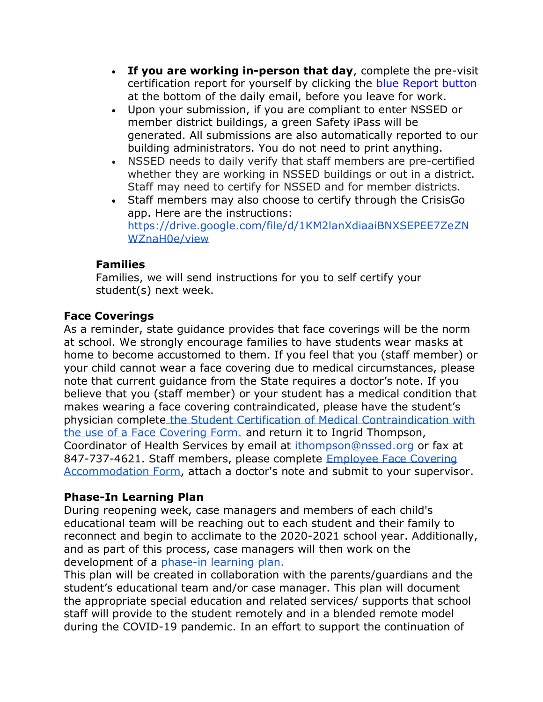- **If you are working in-person that day**, complete the pre-visit certification report for yourself by clicking the blue Report button at the bottom of the daily email, before you leave for work.
- Upon your submission, if you are compliant to enter NSSED or member district buildings, a green Safety iPass will be generated. All submissions are also automatically reported to our building administrators. You do not need to print anything.
- NSSED needs to daily verify that staff members are pre-certified whether they are working in NSSED buildings or out in a district. Staff may need to certify for NSSED and for member districts.
- Staff members may also choose to certify through the CrisisGo app. Here are the instructions: [https://drive.google.com/file/d/1KM2lanXdiaaiBNXSEPEE7ZeZN](https://drive.google.com/file/d/1KM2lanXdiaaiBNXSEPEE7ZeZNWZnaH0e/view) [WZnaH0e/view](https://drive.google.com/file/d/1KM2lanXdiaaiBNXSEPEE7ZeZNWZnaH0e/view)

## **Families**

Families, we will send instructions for you to self certify your student(s) next week.

# **Face Coverings**

As a reminder, state guidance provides that face coverings will be the norm at school. We strongly encourage families to have students wear masks at home to become accustomed to them. If you feel that you (staff member) or your child cannot wear a face covering due to medical circumstances, please note that current guidance from the State requires a doctor's note. If you believe that you (staff member) or your student has a medical condition that makes wearing a face covering contraindicated, please have the student's physician complete [the Student Certification of Medical Contraindication with](https://docs.google.com/document/d/1-uvf9NoCF15rQwWx50vA6SuyrDnprOMi_SLrNqwOSK4/edit?usp=sharing) [the use of a Face Covering Form.](https://docs.google.com/document/d/1-uvf9NoCF15rQwWx50vA6SuyrDnprOMi_SLrNqwOSK4/edit?usp=sharing) and return it to Ingrid Thompson, Coordinator of Health Services by email at [ithompson@nssed.org](mailto:ithompson@nssed.org) or fax at 847-737-4621. Staff members, please complete [Employee Face Covering](https://docs.google.com/document/d/1gIBQH0zdC2c0YcAJsrn9yZhUCvJPXDV9YoRD6wHacVY/edit?usp=sharing)  [Accommodation Form,](https://docs.google.com/document/d/1gIBQH0zdC2c0YcAJsrn9yZhUCvJPXDV9YoRD6wHacVY/edit?usp=sharing) attach a doctor's note and submit to your supervisor.

## **Phase-In Learning Plan**

During reopening week, case managers and members of each child's educational team will be reaching out to each student and their family to reconnect and begin to acclimate to the 2020-2021 school year. Additionally, and as part of this process, case managers will then work on the development of a [phase-in learning plan.](https://docs.google.com/document/d/1RdCELMOetZFV8c_ZfDcPZ7q0l_JGHmbf91TVLs2PHWc/edit?usp=sharing)

This plan will be created in collaboration with the parents/guardians and the student's educational team and/or case manager. This plan will document the appropriate special education and related services/ supports that school staff will provide to the student remotely and in a blended remote model during the COVID-19 pandemic. In an effort to support the continuation of